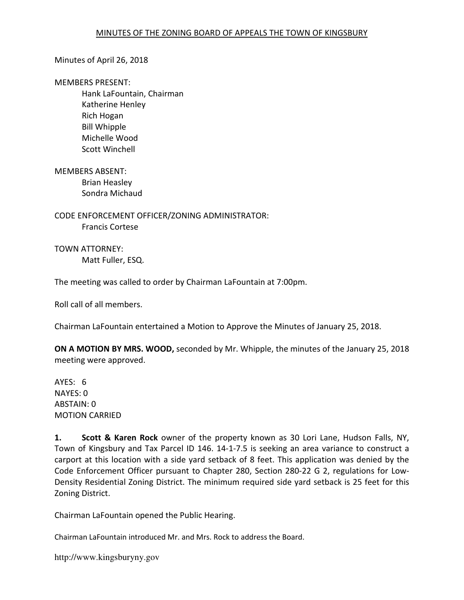### Minutes of April 26, 2018

#### MEMBERS PRESENT:

 Hank LaFountain, Chairman Katherine Henley Rich Hogan Bill Whipple Michelle Wood Scott Winchell

MEMBERS ABSENT: Brian Heasley Sondra Michaud

CODE ENFORCEMENT OFFICER/ZONING ADMINISTRATOR: Francis Cortese

TOWN ATTORNEY: Matt Fuller, ESQ.

The meeting was called to order by Chairman LaFountain at 7:00pm.

Roll call of all members.

Chairman LaFountain entertained a Motion to Approve the Minutes of January 25, 2018.

ON A MOTION BY MRS. WOOD, seconded by Mr. Whipple, the minutes of the January 25, 2018 meeting were approved.

AYES: 6 NAYES: 0 ABSTAIN: 0 MOTION CARRIED

1. Scott & Karen Rock owner of the property known as 30 Lori Lane, Hudson Falls, NY, Town of Kingsbury and Tax Parcel ID 146. 14-1-7.5 is seeking an area variance to construct a carport at this location with a side yard setback of 8 feet. This application was denied by the Code Enforcement Officer pursuant to Chapter 280, Section 280-22 G 2, regulations for Low-Density Residential Zoning District. The minimum required side yard setback is 25 feet for this Zoning District.

Chairman LaFountain opened the Public Hearing.

Chairman LaFountain introduced Mr. and Mrs. Rock to address the Board.

http://www.kingsburyny.gov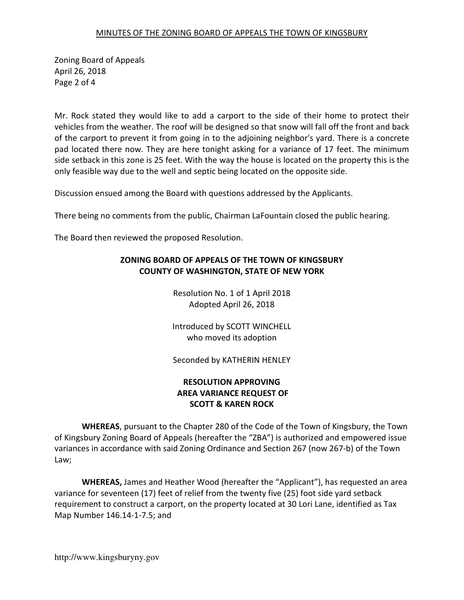### MINUTES OF THE ZONING BOARD OF APPEALS THE TOWN OF KINGSBURY

Zoning Board of Appeals April 26, 2018 Page 2 of 4

Mr. Rock stated they would like to add a carport to the side of their home to protect their vehicles from the weather. The roof will be designed so that snow will fall off the front and back of the carport to prevent it from going in to the adjoining neighbor's yard. There is a concrete pad located there now. They are here tonight asking for a variance of 17 feet. The minimum side setback in this zone is 25 feet. With the way the house is located on the property this is the only feasible way due to the well and septic being located on the opposite side.

Discussion ensued among the Board with questions addressed by the Applicants.

There being no comments from the public, Chairman LaFountain closed the public hearing.

The Board then reviewed the proposed Resolution.

## ZONING BOARD OF APPEALS OF THE TOWN OF KINGSBURY COUNTY OF WASHINGTON, STATE OF NEW YORK

Resolution No. 1 of 1 April 2018 Adopted April 26, 2018

Introduced by SCOTT WINCHELL who moved its adoption

Seconded by KATHERIN HENLEY

# RESOLUTION APPROVING AREA VARIANCE REQUEST OF SCOTT & KAREN ROCK

WHEREAS, pursuant to the Chapter 280 of the Code of the Town of Kingsbury, the Town of Kingsbury Zoning Board of Appeals (hereafter the "ZBA") is authorized and empowered issue variances in accordance with said Zoning Ordinance and Section 267 (now 267-b) of the Town Law;

WHEREAS, James and Heather Wood (hereafter the "Applicant"), has requested an area variance for seventeen (17) feet of relief from the twenty five (25) foot side yard setback requirement to construct a carport, on the property located at 30 Lori Lane, identified as Tax Map Number 146.14-1-7.5; and

http://www.kingsburyny.gov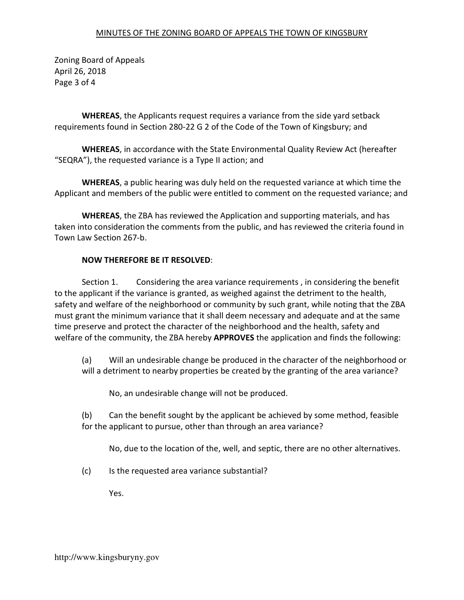### MINUTES OF THE ZONING BOARD OF APPEALS THE TOWN OF KINGSBURY

Zoning Board of Appeals April 26, 2018 Page 3 of 4

WHEREAS, the Applicants request requires a variance from the side yard setback requirements found in Section 280-22 G 2 of the Code of the Town of Kingsbury; and

WHEREAS, in accordance with the State Environmental Quality Review Act (hereafter "SEQRA"), the requested variance is a Type II action; and

WHEREAS, a public hearing was duly held on the requested variance at which time the Applicant and members of the public were entitled to comment on the requested variance; and

WHEREAS, the ZBA has reviewed the Application and supporting materials, and has taken into consideration the comments from the public, and has reviewed the criteria found in Town Law Section 267-b.

### NOW THEREFORE BE IT RESOLVED:

 Section 1. Considering the area variance requirements , in considering the benefit to the applicant if the variance is granted, as weighed against the detriment to the health, safety and welfare of the neighborhood or community by such grant, while noting that the ZBA must grant the minimum variance that it shall deem necessary and adequate and at the same time preserve and protect the character of the neighborhood and the health, safety and welfare of the community, the ZBA hereby **APPROVES** the application and finds the following:

(a) Will an undesirable change be produced in the character of the neighborhood or will a detriment to nearby properties be created by the granting of the area variance?

No, an undesirable change will not be produced.

(b) Can the benefit sought by the applicant be achieved by some method, feasible for the applicant to pursue, other than through an area variance?

No, due to the location of the, well, and septic, there are no other alternatives.

(c) Is the requested area variance substantial?

Yes.